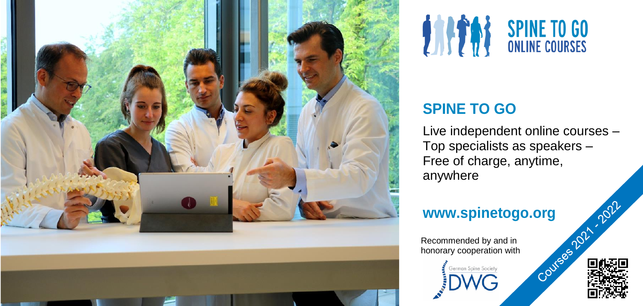



# **SPINE TO GO**

Live independent online courses – Top specialists as speakers – Free of charge, anytime, anywhere

**www.spinetogo.org**<br>
Recommended by and in<br>
honorary cooperation with<br> **Example Society**<br> **EXAMG** Recommended by and in honorary cooperation with

erman Spine Societ

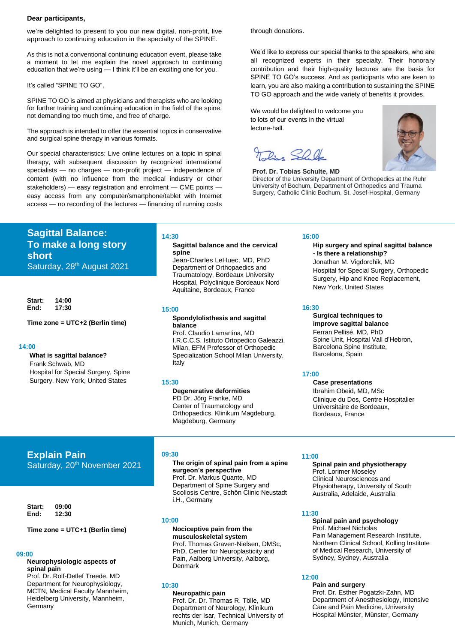#### **Dear participants,**

we're delighted to present to you our new digital, non-profit, live approach to continuing education in the specialty of the SPINE.

As this is not a conventional continuing education event, please take a moment to let me explain the novel approach to continuing education that we're using — I think it'll be an exciting one for you.

It's called "SPINE TO GO".

SPINE TO GO is aimed at physicians and therapists who are looking for further training and continuing education in the field of the spine, not demanding too much time, and free of charge.

The approach is intended to offer the essential topics in conservative and surgical spine therapy in various formats.

Our special characteristics: Live online lectures on a topic in spinal therapy, with subsequent discussion by recognized international specialists — no charges — non-profit project — independence of content (with no influence from the medical industry or other stakeholders) — easy registration and enrolment — CME points easy access from any computer/smartphone/tablet with Internet access — no recording of the lectures — financing of running costs

**Sagittal Balance: To make a long story short** Saturday, 28<sup>th</sup> August 2021

**Start: 14:00 End: 17:30**

**Time zone = UTC+2 (Berlin time)**

#### **14:00**

**What is sagittal balance?** Frank Schwab, MD Hospital for Special Surgery, Spine Surgery, New York, United States

#### **14:30**

#### **Sagittal balance and the cervical spine**

Jean-Charles LeHuec, MD, PhD Department of Orthopaedics and Traumatology, Bordeaux University Hospital, Polyclinique Bordeaux Nord Aquitaine, Bordeaux, France

**15:00**

#### **Spondylolisthesis and sagittal balance**

Prof. Claudio Lamartina, MD I.R.C.C.S. Istituto Ortopedico Galeazzi, Milan, EFM Professor of Orthopedic Specialization School Milan University, Italy

#### **15:30**

**Degenerative deformities** PD Dr. Jörg Franke, MD Center of Traumatology and Orthopaedics, Klinikum Magdeburg, Magdeburg, Germany

# **Explain Pain**

Saturday, 20<sup>th</sup> November 2021

**Start: 09:00 End: 12:30** 

#### **Time zone = UTC+1 (Berlin time)**

#### **09:00**

#### **Neurophysiologic aspects of spinal pain**

Prof. Dr. Rolf-Detlef Treede, MD Department for Neurophysiology, MCTN, Medical Faculty Mannheim, Heidelberg University, Mannheim, **Germany** 

#### **09:30**

#### **The origin of spinal pain from a spine surgeon's perspective** Prof. Dr. Markus Quante, MD Department of Spine Surgery and Scoliosis Centre, Schön Clinic Neustadt i.H., Germany

**10:00**

#### **Nociceptive pain from the musculoskeletal system** Prof. Thomas Graven-Nielsen, DMSc,

PhD, Center for Neuroplasticity and Pain, Aalborg University, Aalborg, Denmark

#### **10:30**

**Neuropathic pain** Prof. Dr. Dr. Thomas R. Tölle, MD Department of Neurology, Klinikum rechts der Isar, Technical University of Munich, Munich, Germany

through donations.

We'd like to express our special thanks to the speakers, who are all recognized experts in their specialty. Their honorary contribution and their high-quality lectures are the basis for SPINE TO GO's success. And as participants who are keen to learn, you are also making a contribution to sustaining the SPINE TO GO approach and the wide variety of benefits it provides.

We would be delighted to welcome you to lots of our events in the virtual lecture-hall.

 $P_{1}$ , SOU

#### **Prof. Dr. Tobias Schulte, MD** Director of the University Department of Orthopedics at the Ruhr University of Bochum, Department of Orthopedics and Trauma

Surgery, Catholic Clinic Bochum, St. Josef-Hospital, Germany

#### **16:00**

#### **Hip surgery and spinal sagittal balance - Is there a relationship?** Jonathan M. Vigdorchik, MD

Hospital for Special Surgery, Orthopedic Surgery, Hip and Knee Replacement, New York, United States

#### **16:30**

#### **Surgical techniques to improve sagittal balance** Ferran Pellisé, MD, PhD

Spine Unit, Hospital Vall d'Hebron, Barcelona Spine Institute, Barcelona, Spain

#### **17:00**

#### **Case presentations**

Ibrahim Obeid, MD, MSc Clinique du Dos, Centre Hospitalier Universitaire de Bordeaux, Bordeaux, France

#### **11:00**

#### **Spinal pain and physiotherapy** Prof. Lorimer Moseley Clinical Neurosciences and Physiotherapy, University of South Australia, Adelaide, Australia

#### **11:30**

#### **Spinal pain and psychology** Prof. Michael Nicholas Pain Management Research Institute, Northern Clinical School, Kolling Institute of Medical Research, University of Sydney, Sydney, Australia

#### **12:00**

#### **Pain and surgery**

Prof. Dr. Esther Pogatzki-Zahn, MD Department of Anesthesiology, Intensive Care and Pain Medicine, University Hospital Münster, Münster, Germany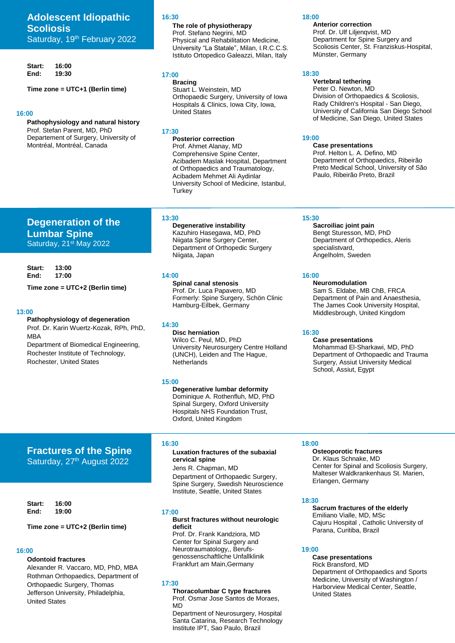# **Adolescent Idiopathic Scoliosis** Saturday, 19th February 2022

**Start: 16:00 End: 19:30** 

**Start: 13:00** 

**Time zone = UTC+2 (Berlin time)**

**Degeneration of the** 

**Lumbar Spine** Saturday, 21<sup>st</sup> May 2022

**Pathophysiology of degeneration** Prof. Dr. Karin Wuertz-Kozak, RPh, PhD,

Rochester, United States

Department of Biomedical Engineering, Rochester Institute of Technology,

**End: 17:00** 

MBA

**13:00**

**Time zone = UTC+1 (Berlin time)**

#### **16:00**

**Pathophysiology and natural history** Prof. Stefan Parent, MD, PhD Departement of Surgery, University of Montréal, Montréal, Canada

#### **16:30**

**The role of physiotherapy** Prof. Stefano Negrini, MD Physical and Rehabilitation Medicine, University "La Statale", Milan, I.R.C.C.S. Istituto Ortopedico Galeazzi, Milan, Italy

### **17:00**

**Bracing** Stuart L. Weinstein, MD Orthopaedic Surgery, University of Iowa Hospitals & Clinics, Iowa City, Iowa, United States

#### **17:30**

**Posterior correction** Prof. Ahmet Alanay, MD Comprehensive Spine Center, Acibadem Maslak Hospital, Department of Orthopaedics and Traumatology, Acibadem Mehmet Ali Aydinlar University School of Medicine, Istanbul, **Turkey** 

#### **13:30**

**Degenerative instability** Kazuhiro Hasegawa, MD, PhD Niigata Spine Surgery Center, Department of Orthopedic Surgery Niigata, Japan

#### **14:00**

**Spinal canal stenosis** Prof. Dr. Luca Papavero, MD Formerly: Spine Surgery, Schön Clinic Hamburg-Eilbek, Germany

### **14:30**

**Disc herniation** Wilco C. Peul, MD, PhD University Neurosurgery Centre Holland (UNCH), Leiden and The Hague, **Netherlands** 

#### **15:00**

**Degenerative lumbar deformity** Dominique A. Rothenfluh, MD, PhD Spinal Surgery, Oxford University Hospitals NHS Foundation Trust, Oxford, United Kingdom

# **Fractures of the Spine** Saturday, 27<sup>th</sup> August 2022

**Start: 16:00 End: 19:00** 

#### **Time zone = UTC+2 (Berlin time)**

# **16:00**

## **Odontoid fractures**

Alexander R. Vaccaro, MD, PhD, MBA Rothman Orthopaedics, Department of Orthopaedic Surgery, Thomas Jefferson University, Philadelphia, United States

#### **16:30**

#### **Luxation fractures of the subaxial cervical spine**

Jens R. Chapman, MD Department of Orthopaedic Surgery, Spine Surgery, Swedish Neuroscience Institute, Seattle, United States

#### **17:00**

#### **Burst fractures without neurologic deficit**

Prof. Dr. Frank Kandziora, MD Center for Spinal Surgery and Neurotraumatology,, Berufsgenossenschaftliche Unfallklinik Frankfurt am Main,Germany

#### **17:30**

**Thoracolumbar C type fractures** Prof. Osmar Jose Santos de Moraes, MD

Department of Neurosurgery, Hospital Santa Catarina, Research Technology Institute IPT, Sao Paulo, Brazil

#### **18:00**

**Anterior correction** Prof. Dr. Ulf Liljenqvist, MD Department for Spine Surgery and Scoliosis Center, St. Franziskus-Hospital, Münster, Germany

#### **18:30**

# **Vertebral tethering**

Peter O. Newton, MD Division of Orthopaedics & Scoliosis, Rady Children's Hospital - San Diego, University of California San Diego School of Medicine, San Diego, United States

#### **19:00**

**Case presentations** Prof. Helton L. A. Defino, MD Department of Orthopaedics, Ribeirão Preto Medical School, University of São Paulo, Ribeirão Preto, Brazil

#### **15:30**

**Sacroiliac joint pain** Bengt Sturesson, MD, PhD Department of Orthopedics, Aleris specialistvard, Ängelholm, Sweden

#### **16:00**

# **Neuromodulation**

Sam S. Eldabe, MB ChB, FRCA Department of Pain and Anaesthesia, The James Cook University Hospital, Middlesbrough, United Kingdom

#### **16:30**

# **Case presentations**

Mohammad El-Sharkawi, MD, PhD Department of Orthopaedic and Trauma Surgery, Assiut University Medical School, Assiut, Egypt

#### **18:00**

#### **Osteoporotic fractures** Dr. Klaus Schnake, MD Center for Spinal and Scoliosis Surgery, Malteser Waldkrankenhaus St. Marien, Erlangen, Germany

#### **18:30**

**Sacrum fractures of the elderly** Emiliano Vialle, MD, MSc Cajuru Hospital , Catholic University of Parana, Curitiba, Brazil

#### **19:00**

**Case presentations** Rick Bransford, MD Department of Orthopaedics and Sports Medicine, University of Washington / Harborview Medical Center, Seattle, United States